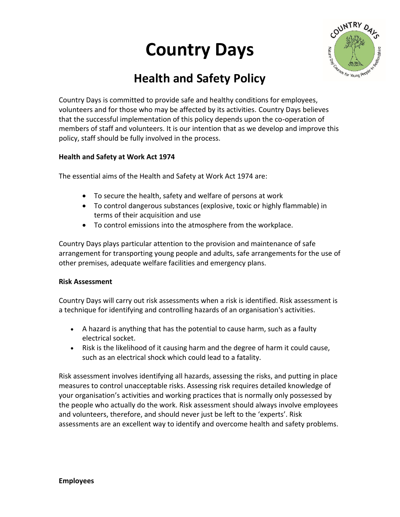# **Country Days**



# **Health and Safety Policy**

Country Days is committed to provide safe and healthy conditions for employees, volunteers and for those who may be affected by its activities. Country Days believes that the successful implementation of this policy depends upon the co-operation of members of staff and volunteers. It is our intention that as we develop and improve this policy, staff should be fully involved in the process.

#### **Health and Safety at Work Act 1974**

The essential aims of the Health and Safety at Work Act 1974 are:

- To secure the health, safety and welfare of persons at work
- To control dangerous substances (explosive, toxic or highly flammable) in terms of their acquisition and use
- To control emissions into the atmosphere from the workplace.

Country Days plays particular attention to the provision and maintenance of safe arrangement for transporting young people and adults, safe arrangements for the use of other premises, adequate welfare facilities and emergency plans.

#### **Risk Assessment**

Country Days will carry out risk assessments when a risk is identified. Risk assessment is a technique for identifying and controlling hazards of an organisation's activities.

- A hazard is anything that has the potential to cause harm, such as a faulty electrical socket.
- Risk is the likelihood of it causing harm and the degree of harm it could cause, such as an electrical shock which could lead to a fatality.

Risk assessment involves identifying all hazards, assessing the risks, and putting in place measures to control unacceptable risks. Assessing risk requires detailed knowledge of your organisation's activities and working practices that is normally only possessed by the people who actually do the work. Risk assessment should always involve employees and volunteers, therefore, and should never just be left to the 'experts'. Risk assessments are an excellent way to identify and overcome health and safety problems.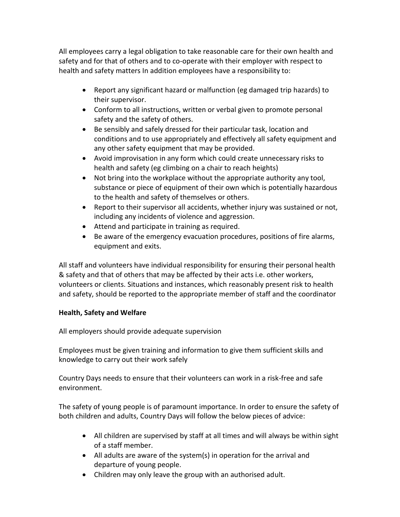All employees carry a legal obligation to take reasonable care for their own health and safety and for that of others and to co-operate with their employer with respect to health and safety matters In addition employees have a responsibility to:

- Report any significant hazard or malfunction (eg damaged trip hazards) to their supervisor.
- Conform to all instructions, written or verbal given to promote personal safety and the safety of others.
- Be sensibly and safely dressed for their particular task, location and conditions and to use appropriately and effectively all safety equipment and any other safety equipment that may be provided.
- Avoid improvisation in any form which could create unnecessary risks to health and safety (eg climbing on a chair to reach heights)
- Not bring into the workplace without the appropriate authority any tool, substance or piece of equipment of their own which is potentially hazardous to the health and safety of themselves or others.
- Report to their supervisor all accidents, whether injury was sustained or not, including any incidents of violence and aggression.
- Attend and participate in training as required.
- Be aware of the emergency evacuation procedures, positions of fire alarms, equipment and exits.

All staff and volunteers have individual responsibility for ensuring their personal health & safety and that of others that may be affected by their acts i.e. other workers, volunteers or clients. Situations and instances, which reasonably present risk to health and safety, should be reported to the appropriate member of staff and the coordinator

## **Health, Safety and Welfare**

All employers should provide adequate supervision

Employees must be given training and information to give them sufficient skills and knowledge to carry out their work safely

Country Days needs to ensure that their volunteers can work in a risk-free and safe environment.

The safety of young people is of paramount importance. In order to ensure the safety of both children and adults, Country Days will follow the below pieces of advice:

- All children are supervised by staff at all times and will always be within sight of a staff member.
- All adults are aware of the system(s) in operation for the arrival and departure of young people.
- Children may only leave the group with an authorised adult.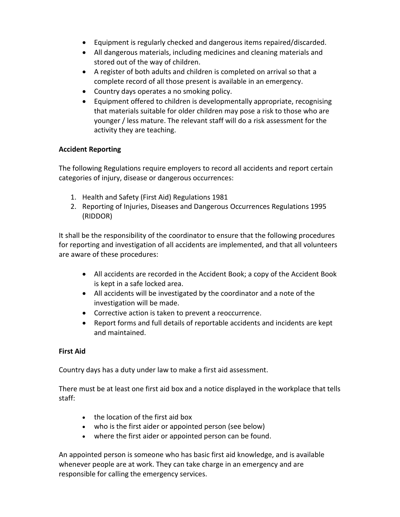- Equipment is regularly checked and dangerous items repaired/discarded.
- All dangerous materials, including medicines and cleaning materials and stored out of the way of children.
- A register of both adults and children is completed on arrival so that a complete record of all those present is available in an emergency.
- Country days operates a no smoking policy.
- Equipment offered to children is developmentally appropriate, recognising that materials suitable for older children may pose a risk to those who are younger / less mature. The relevant staff will do a risk assessment for the activity they are teaching.

# **Accident Reporting**

The following Regulations require employers to record all accidents and report certain categories of injury, disease or dangerous occurrences:

- 1. Health and Safety (First Aid) Regulations 1981
- 2. Reporting of Injuries, Diseases and Dangerous Occurrences Regulations 1995 (RIDDOR)

It shall be the responsibility of the coordinator to ensure that the following procedures for reporting and investigation of all accidents are implemented, and that all volunteers are aware of these procedures:

- All accidents are recorded in the Accident Book; a copy of the Accident Book is kept in a safe locked area.
- All accidents will be investigated by the coordinator and a note of the investigation will be made.
- Corrective action is taken to prevent a reoccurrence.
- Report forms and full details of reportable accidents and incidents are kept and maintained.

## **First Aid**

Country days has a duty under law to make a first aid assessment.

There must be at least one first aid box and a notice displayed in the workplace that tells staff:

- the location of the first aid box
- who is the first aider or appointed person (see below)
- where the first aider or appointed person can be found.

An appointed person is someone who has basic first aid knowledge, and is available whenever people are at work. They can take charge in an emergency and are responsible for calling the emergency services.